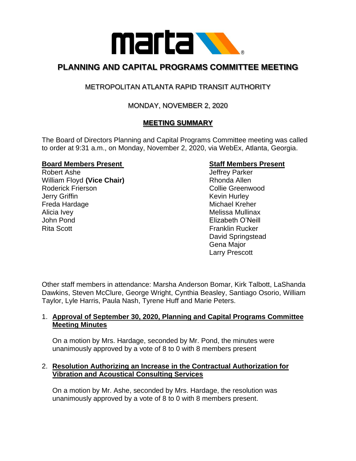

# **PLANNING AND CAPITAL PROGRAMS COMMITTEE MEETING**

# METROPOLITAN ATLANTA RAPID TRANSIT AUTHORITY

## MONDAY, NOVEMBER 2, 2020

## **MEETING SUMMARY**

The Board of Directors Planning and Capital Programs Committee meeting was called to order at 9:31 a.m., on Monday, November 2, 2020, via WebEx, Atlanta, Georgia.

#### **Board Members Present Staff Members Present**

Robert Ashe **Internal and Accord Ashering Contract Contract Accord Accord Accord Accord Accord Accord Accord Accord Accord Accord Accord Accord Accord Accord Accord Accord Accord Accord Accord Accord Accord Accord Accord A** William Floyd (Vice Chair) **Rhonda Allen** Roderick Frierson **Collie Greenwood Jerry Griffin** Kevin Hurley Freda Hardage Michael Kreher Alicia Ivev **Melissa Mullinax** Melissa Mullinax John Pond Elizabeth O'Neill Rita Scott **Franklin Rucker** Franklin Rucker

David Springstead Gena Major Larry Prescott

Other staff members in attendance: Marsha Anderson Bomar, Kirk Talbott, LaShanda Dawkins, Steven McClure, George Wright, Cynthia Beasley, Santiago Osorio, William Taylor, Lyle Harris, Paula Nash, Tyrene Huff and Marie Peters.

### 1. **Approval of September 30, 2020, Planning and Capital Programs Committee Meeting Minutes**

On a motion by Mrs. Hardage, seconded by Mr. Pond, the minutes were unanimously approved by a vote of 8 to 0 with 8 members present

### 2. **Resolution Authorizing an Increase in the Contractual Authorization for Vibration and Acoustical Consulting Services**

On a motion by Mr. Ashe, seconded by Mrs. Hardage, the resolution was unanimously approved by a vote of 8 to 0 with 8 members present.